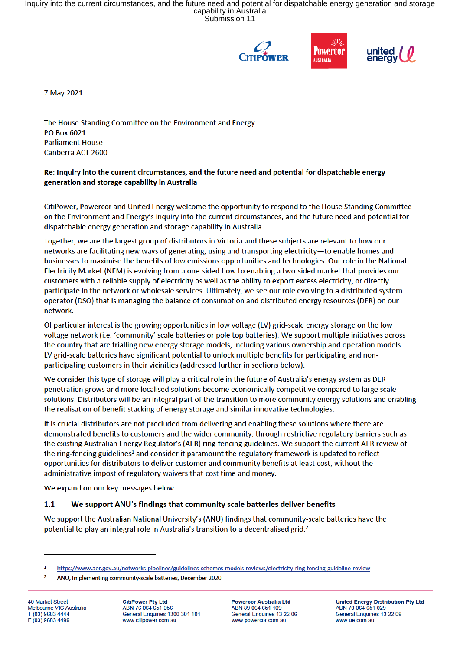Inquiry into the current circumstances, and the future need and potential for dispatchable energy generation and storage capability in Australia Submission 11







7 May 2021

The House Standing Committee on the Environment and Energy PO Box 6021 **Parliament House** Canberra ACT 2600

## Re: Inquiry into the current circumstances, and the future need and potential for dispatchable energy generation and storage capability in Australia

CitiPower, Powercor and United Energy welcome the opportunity to respond to the House Standing Committee on the Environment and Energy's inquiry into the current circumstances, and the future need and potential for dispatchable energy generation and storage capability in Australia.

Together, we are the largest group of distributors in Victoria and these subjects are relevant to how our networks are facilitating new ways of generating, using and transporting electricity-to enable homes and businesses to maximise the benefits of low emissions opportunities and technologies. Our role in the National Electricity Market (NEM) is evolving from a one-sided flow to enabling a two-sided market that provides our customers with a reliable supply of electricity as well as the ability to export excess electricity, or directly participate in the network or wholesale services. Ultimately, we see our role evolving to a distributed system operator (DSO) that is managing the balance of consumption and distributed energy resources (DER) on our network.

Of particular interest is the growing opportunities in low voltage (LV) grid-scale energy storage on the low voltage network (i.e. 'community' scale batteries or pole top batteries). We support multiple initiatives across the country that are trialling new energy storage models, including various ownership and operation models. LV grid-scale batteries have significant potential to unlock multiple benefits for participating and nonparticipating customers in their vicinities (addressed further in sections below).

We consider this type of storage will play a critical role in the future of Australia's energy system as DER penetration grows and more localised solutions become economically competitive compared to large scale solutions. Distributors will be an integral part of the transition to more community energy solutions and enabling the realisation of benefit stacking of energy storage and similar innovative technologies.

It is crucial distributors are not precluded from delivering and enabling these solutions where there are demonstrated benefits to customers and the wider community, through restrictive regulatory barriers such as the existing Australian Energy Regulator's (AER) ring-fencing guidelines. We support the current AER review of the ring-fencing guidelines<sup>1</sup> and consider it paramount the regulatory framework is updated to reflect opportunities for distributors to deliver customer and community benefits at least cost, without the administrative impost of regulatory waivers that cost time and money.

We expand on our key messages below.

## $1.1$ We support ANU's findings that community scale batteries deliver benefits

We support the Australian National University's (ANU) findings that community-scale batteries have the potential to play an integral role in Australia's transition to a decentralised grid.<sup>2</sup>

40 Market Street Melbourne VIC Australia T (03) 9683 4444 F (03) 9683 4499

**CitiPower Pty Ltd** ABN 76 064 651 056 General Enquiries 1300 301 101 www.citipower.com.au

**Powercor Australia Ltd** ABN 89 064 651 109 General Enquiries 13 22 06 www.powercor.com.au

**United Energy Distribution Pty Ltd** ABN 70 064 651 029 General Enquiries 13 22 09 www.ue.com.au

https://www.aer.gov.au/networks-pipelines/guidelines-schemes-models-reviews/electricity-ring-fencing-guideline-review

 $\overline{2}$ ANU, Implementing community-scale batteries, December 2020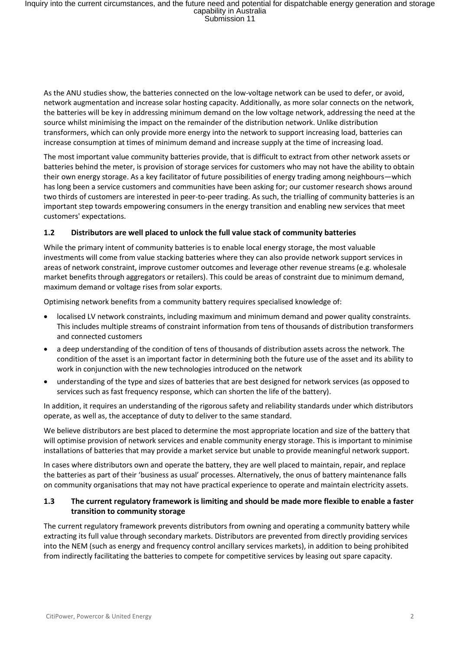As the ANU studies show, the batteries connected on the low-voltage network can be used to defer, or avoid, network augmentation and increase solar hosting capacity. Additionally, as more solar connects on the network, the batteries will be key in addressing minimum demand on the low voltage network, addressing the need at the source whilst minimising the impact on the remainder of the distribution network. Unlike distribution transformers, which can only provide more energy into the network to support increasing load, batteries can increase consumption at times of minimum demand and increase supply at the time of increasing load.

The most important value community batteries provide, that is difficult to extract from other network assets or batteries behind the meter, is provision of storage services for customers who may not have the ability to obtain their own energy storage. As a key facilitator of future possibilities of energy trading among neighbours—which has long been a service customers and communities have been asking for; our customer research shows around two thirds of customers are interested in peer-to-peer trading. As such, the trialling of community batteries is an important step towards empowering consumers in the energy transition and enabling new services that meet customers' expectations.

## **1.2 Distributors are well placed to unlock the full value stack of community batteries**

While the primary intent of community batteries is to enable local energy storage, the most valuable investments will come from value stacking batteries where they can also provide network support services in areas of network constraint, improve customer outcomes and leverage other revenue streams (e.g. wholesale market benefits through aggregators or retailers). This could be areas of constraint due to minimum demand, maximum demand or voltage rises from solar exports.

Optimising network benefits from a community battery requires specialised knowledge of:

- localised LV network constraints, including maximum and minimum demand and power quality constraints. This includes multiple streams of constraint information from tens of thousands of distribution transformers and connected customers
- a deep understanding of the condition of tens of thousands of distribution assets across the network. The condition of the asset is an important factor in determining both the future use of the asset and its ability to work in conjunction with the new technologies introduced on the network
- understanding of the type and sizes of batteries that are best designed for network services (as opposed to services such as fast frequency response, which can shorten the life of the battery).

In addition, it requires an understanding of the rigorous safety and reliability standards under which distributors operate, as well as, the acceptance of duty to deliver to the same standard.

We believe distributors are best placed to determine the most appropriate location and size of the battery that will optimise provision of network services and enable community energy storage. This is important to minimise installations of batteries that may provide a market service but unable to provide meaningful network support.

In cases where distributors own and operate the battery, they are well placed to maintain, repair, and replace the batteries as part of their 'business as usual' processes. Alternatively, the onus of battery maintenance falls on community organisations that may not have practical experience to operate and maintain electricity assets.

## **1.3 The current regulatory framework is limiting and should be made more flexible to enable a faster transition to community storage**

The current regulatory framework prevents distributors from owning and operating a community battery while extracting its full value through secondary markets. Distributors are prevented from directly providing services into the NEM (such as energy and frequency control ancillary services markets), in addition to being prohibited from indirectly facilitating the batteries to compete for competitive services by leasing out spare capacity.